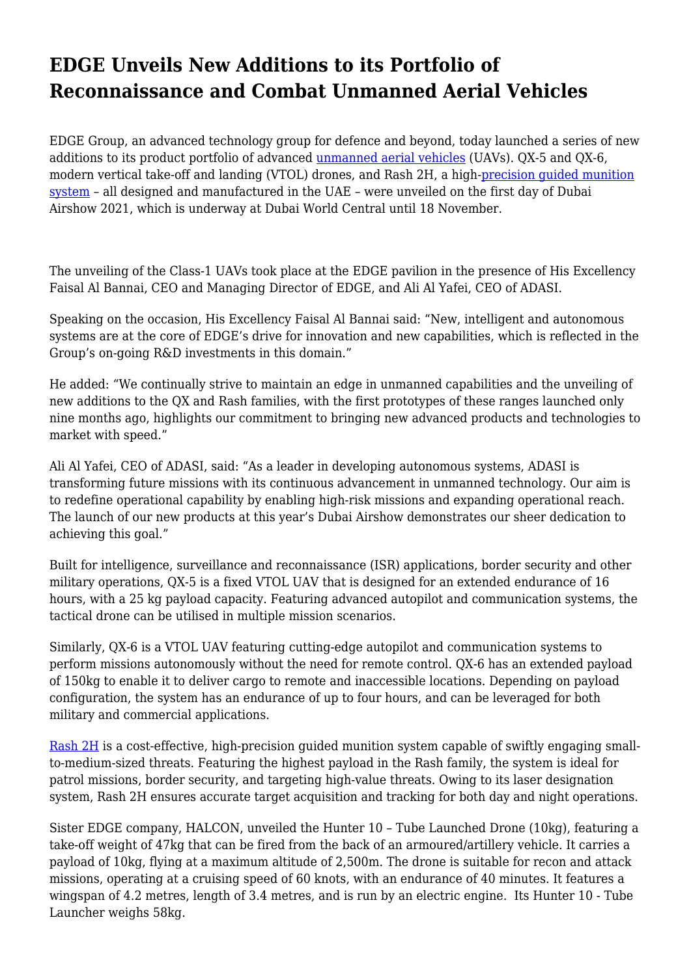## **EDGE Unveils New Additions to its Portfolio of Reconnaissance and Combat Unmanned Aerial Vehicles**

EDGE Group, an advanced technology group for defence and beyond, today launched a series of new additions to its product portfolio of advanced [unmanned aerial vehicles](https://adasi.ae/products) (UAVs). QX-5 and QX-6, modern vertical take-off and landing (VTOL) drones, and Rash 2H, a high-[precision guided munition](https://halcon.ae/) [system](https://halcon.ae/) – all designed and manufactured in the UAE – were unveiled on the first day of Dubai Airshow 2021, which is underway at Dubai World Central until 18 November.

The unveiling of the Class-1 UAVs took place at the EDGE pavilion in the presence of His Excellency Faisal Al Bannai, CEO and Managing Director of EDGE, and Ali Al Yafei, CEO of ADASI.

Speaking on the occasion, His Excellency Faisal Al Bannai said: "New, intelligent and autonomous systems are at the core of EDGE's drive for innovation and new capabilities, which is reflected in the Group's on-going R&D investments in this domain."

He added: "We continually strive to maintain an edge in unmanned capabilities and the unveiling of new additions to the QX and Rash families, with the first prototypes of these ranges launched only nine months ago, highlights our commitment to bringing new advanced products and technologies to market with speed."

Ali Al Yafei, CEO of ADASI, said: "As a leader in developing autonomous systems, ADASI is transforming future missions with its continuous advancement in unmanned technology. Our aim is to redefine operational capability by enabling high-risk missions and expanding operational reach. The launch of our new products at this year's Dubai Airshow demonstrates our sheer dedication to achieving this goal."

Built for intelligence, surveillance and reconnaissance (ISR) applications, border security and other military operations, QX-5 is a fixed VTOL UAV that is designed for an extended endurance of 16 hours, with a 25 kg payload capacity. Featuring advanced autopilot and communication systems, the tactical drone can be utilised in multiple mission scenarios.

Similarly, QX-6 is a VTOL UAV featuring cutting-edge autopilot and communication systems to perform missions autonomously without the need for remote control. QX-6 has an extended payload of 150kg to enable it to deliver cargo to remote and inaccessible locations. Depending on payload configuration, the system has an endurance of up to four hours, and can be leveraged for both military and commercial applications.

[Rash 2H](https://adasi.ae/product-detail/rash-2m) is a cost-effective, high-precision guided munition system capable of swiftly engaging smallto-medium-sized threats. Featuring the highest payload in the Rash family, the system is ideal for patrol missions, border security, and targeting high-value threats. Owing to its laser designation system, Rash 2H ensures accurate target acquisition and tracking for both day and night operations.

Sister EDGE company, HALCON, unveiled the Hunter 10 – Tube Launched Drone (10kg), featuring a take-off weight of 47kg that can be fired from the back of an armoured/artillery vehicle. It carries a payload of 10kg, flying at a maximum altitude of 2,500m. The drone is suitable for recon and attack missions, operating at a cruising speed of 60 knots, with an endurance of 40 minutes. It features a wingspan of 4.2 metres, length of 3.4 metres, and is run by an electric engine. Its Hunter 10 - Tube Launcher weighs 58kg.